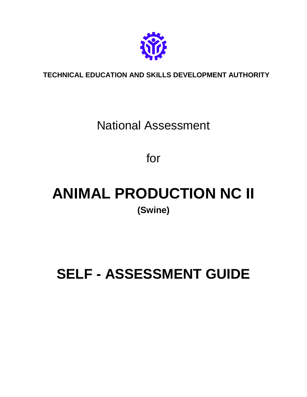

## **TECHNICAL EDUCATION AND SKILLS DEVELOPMENT AUTHORITY**

## National Assessment

for

# **ANIMAL PRODUCTION NC II (Swine)**

# **SELF - ASSESSMENT GUIDE**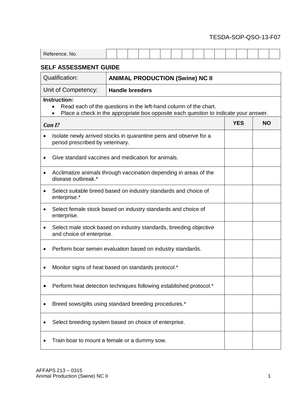| D <sub>o</sub><br>$     -$<br>NO.<br><b>Contractor</b><br>$\sim$<br><br>IUC. |  |  |  |  |  |  |  |  |
|------------------------------------------------------------------------------|--|--|--|--|--|--|--|--|

## **SELF ASSESSMENT GUIDE**

| <b>Qualification:</b>                        | <b>ANIMAL PRODUCTION (Swine) NC II</b>                                                                                                                   |           |  |  |  |  |  |  |  |
|----------------------------------------------|----------------------------------------------------------------------------------------------------------------------------------------------------------|-----------|--|--|--|--|--|--|--|
| Unit of Competency:                          | <b>Handle breeders</b>                                                                                                                                   |           |  |  |  |  |  |  |  |
| <b>Instruction:</b><br>$\bullet$             | Read each of the questions in the left-hand column of the chart.<br>Place a check in the appropriate box opposite each question to indicate your answer. |           |  |  |  |  |  |  |  |
| Can I?                                       | <b>YES</b>                                                                                                                                               | <b>NO</b> |  |  |  |  |  |  |  |
| $\bullet$                                    | Isolate newly arrived stocks in quarantine pens and observe for a<br>period prescribed by veterinary.                                                    |           |  |  |  |  |  |  |  |
|                                              | Give standard vaccines and medication for animals.                                                                                                       |           |  |  |  |  |  |  |  |
| ٠<br>disease outbreak.*                      | Acclimatize animals through vaccination depending in areas of the                                                                                        |           |  |  |  |  |  |  |  |
| $\bullet$<br>enterprise.*                    | Select suitable breed based on industry standards and choice of                                                                                          |           |  |  |  |  |  |  |  |
| enterprise.                                  | Select female stock based on industry standards and choice of                                                                                            |           |  |  |  |  |  |  |  |
| ٠<br>and choice of enterprise.               | Select male stock based on industry standards, breeding objective                                                                                        |           |  |  |  |  |  |  |  |
|                                              | Perform boar semen evaluation based on industry standards.                                                                                               |           |  |  |  |  |  |  |  |
|                                              | Monitor signs of heat based on standards protocol.*                                                                                                      |           |  |  |  |  |  |  |  |
|                                              | Perform heat detection techniques following established protocol.*                                                                                       |           |  |  |  |  |  |  |  |
|                                              | Breed sows/gilts using standard breeding procedures.*                                                                                                    |           |  |  |  |  |  |  |  |
|                                              | Select breeding system based on choice of enterprise.                                                                                                    |           |  |  |  |  |  |  |  |
| Train boar to mount a female or a dummy sow. |                                                                                                                                                          |           |  |  |  |  |  |  |  |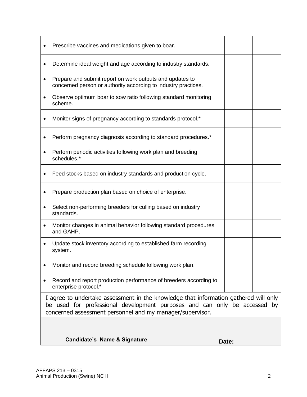|   | Prescribe vaccines and medications given to boar.                                                                                                                                                                              |       |  |
|---|--------------------------------------------------------------------------------------------------------------------------------------------------------------------------------------------------------------------------------|-------|--|
|   | Determine ideal weight and age according to industry standards.                                                                                                                                                                |       |  |
|   | Prepare and submit report on work outputs and updates to<br>concerned person or authority according to industry practices.                                                                                                     |       |  |
|   | Observe optimum boar to sow ratio following standard monitoring<br>scheme.                                                                                                                                                     |       |  |
|   | Monitor signs of pregnancy according to standards protocol.*                                                                                                                                                                   |       |  |
|   | Perform pregnancy diagnosis according to standard procedures.*                                                                                                                                                                 |       |  |
|   | Perform periodic activities following work plan and breeding<br>schedules.*                                                                                                                                                    |       |  |
|   | Feed stocks based on industry standards and production cycle.                                                                                                                                                                  |       |  |
|   | Prepare production plan based on choice of enterprise.                                                                                                                                                                         |       |  |
|   | Select non-performing breeders for culling based on industry<br>standards.                                                                                                                                                     |       |  |
| ٠ | Monitor changes in animal behavior following standard procedures<br>and GAHP.                                                                                                                                                  |       |  |
|   | Update stock inventory according to established farm recording<br>system.                                                                                                                                                      |       |  |
|   | Monitor and record breeding schedule following work plan.                                                                                                                                                                      |       |  |
|   | Record and report production performance of breeders according to<br>enterprise protocol.*                                                                                                                                     |       |  |
|   | I agree to undertake assessment in the knowledge that information gathered will only<br>be used for professional development purposes and can only be accessed by<br>concerned assessment personnel and my manager/supervisor. |       |  |
|   |                                                                                                                                                                                                                                |       |  |
|   | <b>Candidate's Name &amp; Signature</b>                                                                                                                                                                                        | Date: |  |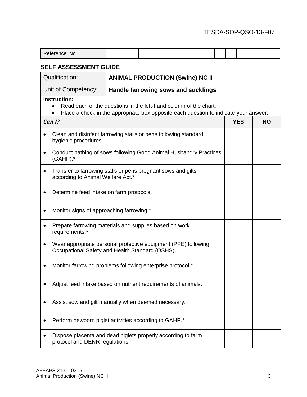| Reference, No.               |  |  |  |  |  |  |  |  |  |  |  |  |  |  |  |  |
|------------------------------|--|--|--|--|--|--|--|--|--|--|--|--|--|--|--|--|
| <b>SELF ASSESSMENT GUIDE</b> |  |  |  |  |  |  |  |  |  |  |  |  |  |  |  |  |

## Qualification: **ANIMAL PRODUCTION (Swine) NC II**

Unit of Competency: **Handle farrowing sows and sucklings**

### **Instruction:**

- Read each of the questions in the left-hand column of the chart.
- Place a check in the appropriate box opposite each question to indicate your answer.

## *Can I?* **YES NO** Clean and disinfect farrowing stalls or pens following standard hygienic procedures. Conduct bathing of sows following Good Animal Husbandry Practices (GAHP).\* Transfer to farrowing stalls or pens pregnant sows and gilts according to Animal Welfare Act.\* Determine feed intake on farm protocols. • Monitor signs of approaching farrowing.\* • Prepare farrowing materials and supplies based on work requirements.\* Wear appropriate personal protective equipment (PPE) following Occupational Safety and Health Standard (OSHS). • Monitor farrowing problems following enterprise protocol.\* Adjust feed intake based on nutrient requirements of animals. Assist sow and gilt manually when deemed necessary. • Perform newborn piglet activities according to GAHP.<sup>\*</sup> Dispose placenta and dead piglets properly according to farm protocol and DENR regulations.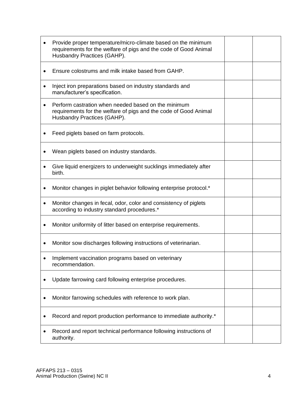|   | Provide proper temperature/micro-climate based on the minimum<br>requirements for the welfare of pigs and the code of Good Animal<br>Husbandry Practices (GAHP). |  |
|---|------------------------------------------------------------------------------------------------------------------------------------------------------------------|--|
|   | Ensure colostrums and milk intake based from GAHP.                                                                                                               |  |
| ٠ | Inject iron preparations based on industry standards and<br>manufacturer's specification.                                                                        |  |
|   | Perform castration when needed based on the minimum<br>requirements for the welfare of pigs and the code of Good Animal<br>Husbandry Practices (GAHP).           |  |
|   | Feed piglets based on farm protocols.                                                                                                                            |  |
|   | Wean piglets based on industry standards.                                                                                                                        |  |
|   | Give liquid energizers to underweight sucklings immediately after<br>birth.                                                                                      |  |
|   | Monitor changes in piglet behavior following enterprise protocol.*                                                                                               |  |
| ٠ | Monitor changes in fecal, odor, color and consistency of piglets<br>according to industry standard procedures.*                                                  |  |
| ٠ | Monitor uniformity of litter based on enterprise requirements.                                                                                                   |  |
|   | Monitor sow discharges following instructions of veterinarian.                                                                                                   |  |
|   | Implement vaccination programs based on veterinary<br>recommendation.                                                                                            |  |
|   | Update farrowing card following enterprise procedures.                                                                                                           |  |
|   | Monitor farrowing schedules with reference to work plan.                                                                                                         |  |
|   | Record and report production performance to immediate authority.*                                                                                                |  |
|   | Record and report technical performance following instructions of<br>authority.                                                                                  |  |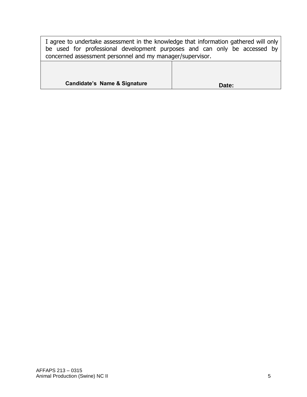I agree to undertake assessment in the knowledge that information gathered will only be used for professional development purposes and can only be accessed by concerned assessment personnel and my manager/supervisor.

| <b>Candidate's Name &amp; Signature</b> | Date: |
|-----------------------------------------|-------|
|-----------------------------------------|-------|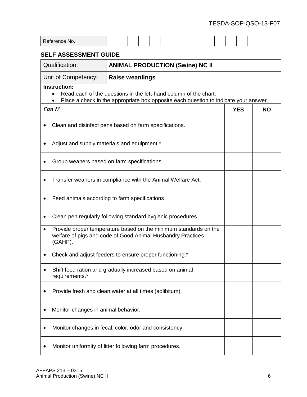| Reference No.                                                                                                                                           |                                                                                                                                                          |  |  |                        |  |                                        |  |  |  |  |  |  |            |           |  |
|---------------------------------------------------------------------------------------------------------------------------------------------------------|----------------------------------------------------------------------------------------------------------------------------------------------------------|--|--|------------------------|--|----------------------------------------|--|--|--|--|--|--|------------|-----------|--|
| <b>SELF ASSESSMENT GUIDE</b>                                                                                                                            |                                                                                                                                                          |  |  |                        |  |                                        |  |  |  |  |  |  |            |           |  |
| <b>Qualification:</b>                                                                                                                                   |                                                                                                                                                          |  |  |                        |  | <b>ANIMAL PRODUCTION (Swine) NC II</b> |  |  |  |  |  |  |            |           |  |
| Unit of Competency:                                                                                                                                     |                                                                                                                                                          |  |  | <b>Raise weanlings</b> |  |                                        |  |  |  |  |  |  |            |           |  |
| <b>Instruction:</b>                                                                                                                                     | Read each of the questions in the left-hand column of the chart.<br>Place a check in the appropriate box opposite each question to indicate your answer. |  |  |                        |  |                                        |  |  |  |  |  |  |            |           |  |
| Can I?                                                                                                                                                  |                                                                                                                                                          |  |  |                        |  |                                        |  |  |  |  |  |  | <b>YES</b> | <b>NO</b> |  |
| Clean and disinfect pens based on farm specifications.                                                                                                  |                                                                                                                                                          |  |  |                        |  |                                        |  |  |  |  |  |  |            |           |  |
| Adjust and supply materials and equipment.*                                                                                                             |                                                                                                                                                          |  |  |                        |  |                                        |  |  |  |  |  |  |            |           |  |
| Group weaners based on farm specifications.                                                                                                             |                                                                                                                                                          |  |  |                        |  |                                        |  |  |  |  |  |  |            |           |  |
| Transfer weaners in compliance with the Animal Welfare Act.                                                                                             |                                                                                                                                                          |  |  |                        |  |                                        |  |  |  |  |  |  |            |           |  |
| Feed animals according to farm specifications.                                                                                                          |                                                                                                                                                          |  |  |                        |  |                                        |  |  |  |  |  |  |            |           |  |
| Clean pen regularly following standard hygienic procedures.                                                                                             |                                                                                                                                                          |  |  |                        |  |                                        |  |  |  |  |  |  |            |           |  |
| Provide proper temperature based on the minimum standards on the<br>$\bullet$<br>welfare of pigs and code of Good Animal Husbandry Practices<br>(GAHP). |                                                                                                                                                          |  |  |                        |  |                                        |  |  |  |  |  |  |            |           |  |
| Check and adjust feeders to ensure proper functioning.*                                                                                                 |                                                                                                                                                          |  |  |                        |  |                                        |  |  |  |  |  |  |            |           |  |
| Shift feed ration and gradually increased based on animal<br>requirements.*                                                                             |                                                                                                                                                          |  |  |                        |  |                                        |  |  |  |  |  |  |            |           |  |
|                                                                                                                                                         | Provide fresh and clean water at all times (adlibitum).                                                                                                  |  |  |                        |  |                                        |  |  |  |  |  |  |            |           |  |
|                                                                                                                                                         | Monitor changes in animal behavior.                                                                                                                      |  |  |                        |  |                                        |  |  |  |  |  |  |            |           |  |
| Monitor changes in fecal, color, odor and consistency.                                                                                                  |                                                                                                                                                          |  |  |                        |  |                                        |  |  |  |  |  |  |            |           |  |
| Monitor uniformity of litter following farm procedures.                                                                                                 |                                                                                                                                                          |  |  |                        |  |                                        |  |  |  |  |  |  |            |           |  |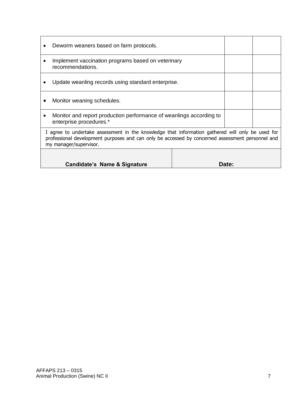|   | Deworm weaners based on farm protocols.                                                                                                                                                                                        |       |  |
|---|--------------------------------------------------------------------------------------------------------------------------------------------------------------------------------------------------------------------------------|-------|--|
|   | Implement vaccination programs based on veterinary<br>recommendations.                                                                                                                                                         |       |  |
|   | Update weanling records using standard enterprise.                                                                                                                                                                             |       |  |
|   | Monitor weaning schedules.                                                                                                                                                                                                     |       |  |
| ٠ | Monitor and report production performance of weanlings according to<br>enterprise procedures.*                                                                                                                                 |       |  |
|   | I agree to undertake assessment in the knowledge that information gathered will only be used for<br>professional development purposes and can only be accessed by concerned assessment personnel and<br>my manager/supervisor. |       |  |
|   |                                                                                                                                                                                                                                |       |  |
|   | Candidate's Name & Signature                                                                                                                                                                                                   | Date: |  |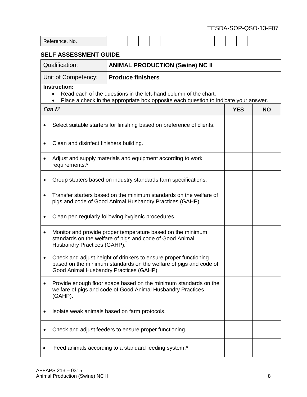| Reference, No.                                                                                                                                                                   |  |  |  |                          |                                        |  |  |  |  |  |  |            |           |  |
|----------------------------------------------------------------------------------------------------------------------------------------------------------------------------------|--|--|--|--------------------------|----------------------------------------|--|--|--|--|--|--|------------|-----------|--|
| <b>SELF ASSESSMENT GUIDE</b>                                                                                                                                                     |  |  |  |                          |                                        |  |  |  |  |  |  |            |           |  |
| <b>Qualification:</b>                                                                                                                                                            |  |  |  |                          | <b>ANIMAL PRODUCTION (Swine) NC II</b> |  |  |  |  |  |  |            |           |  |
| Unit of Competency:                                                                                                                                                              |  |  |  | <b>Produce finishers</b> |                                        |  |  |  |  |  |  |            |           |  |
| <b>Instruction:</b><br>Read each of the questions in the left-hand column of the chart.<br>Place a check in the appropriate box opposite each question to indicate your answer.  |  |  |  |                          |                                        |  |  |  |  |  |  |            |           |  |
| Can I?                                                                                                                                                                           |  |  |  |                          |                                        |  |  |  |  |  |  | <b>YES</b> | <b>NO</b> |  |
| Select suitable starters for finishing based on preference of clients.                                                                                                           |  |  |  |                          |                                        |  |  |  |  |  |  |            |           |  |
| Clean and disinfect finishers building.                                                                                                                                          |  |  |  |                          |                                        |  |  |  |  |  |  |            |           |  |
| Adjust and supply materials and equipment according to work<br>requirements.*                                                                                                    |  |  |  |                          |                                        |  |  |  |  |  |  |            |           |  |
| Group starters based on industry standards farm specifications.                                                                                                                  |  |  |  |                          |                                        |  |  |  |  |  |  |            |           |  |
| Transfer starters based on the minimum standards on the welfare of<br>pigs and code of Good Animal Husbandry Practices (GAHP).                                                   |  |  |  |                          |                                        |  |  |  |  |  |  |            |           |  |
| Clean pen regularly following hygienic procedures.                                                                                                                               |  |  |  |                          |                                        |  |  |  |  |  |  |            |           |  |
| Monitor and provide proper temperature based on the minimum<br>٠<br>standards on the welfare of pigs and code of Good Animal<br>Husbandry Practices (GAHP).                      |  |  |  |                          |                                        |  |  |  |  |  |  |            |           |  |
| Check and adjust height of drinkers to ensure proper functioning<br>based on the minimum standards on the welfare of pigs and code of<br>Good Animal Husbandry Practices (GAHP). |  |  |  |                          |                                        |  |  |  |  |  |  |            |           |  |
| Provide enough floor space based on the minimum standards on the<br>welfare of pigs and code of Good Animal Husbandry Practices<br>(GAHP).                                       |  |  |  |                          |                                        |  |  |  |  |  |  |            |           |  |
| Isolate weak animals based on farm protocols.                                                                                                                                    |  |  |  |                          |                                        |  |  |  |  |  |  |            |           |  |
| Check and adjust feeders to ensure proper functioning.                                                                                                                           |  |  |  |                          |                                        |  |  |  |  |  |  |            |           |  |
| Feed animals according to a standard feeding system.*                                                                                                                            |  |  |  |                          |                                        |  |  |  |  |  |  |            |           |  |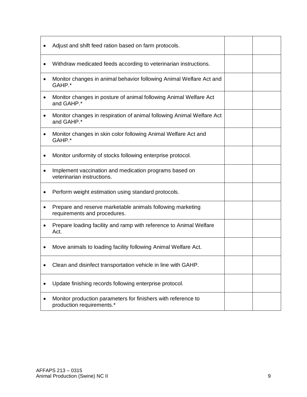|   | Adjust and shift feed ration based on farm protocols.                                      |  |
|---|--------------------------------------------------------------------------------------------|--|
|   | Withdraw medicated feeds according to veterinarian instructions.                           |  |
| ٠ | Monitor changes in animal behavior following Animal Welfare Act and<br>GAHP.*              |  |
|   | Monitor changes in posture of animal following Animal Welfare Act<br>and GAHP.*            |  |
|   | Monitor changes in respiration of animal following Animal Welfare Act<br>and GAHP.*        |  |
| ٠ | Monitor changes in skin color following Animal Welfare Act and<br>GAHP.*                   |  |
|   | Monitor uniformity of stocks following enterprise protocol.                                |  |
|   | Implement vaccination and medication programs based on<br>veterinarian instructions.       |  |
|   | Perform weight estimation using standard protocols.                                        |  |
|   | Prepare and reserve marketable animals following marketing<br>requirements and procedures. |  |
|   | Prepare loading facility and ramp with reference to Animal Welfare<br>Act.                 |  |
|   | Move animals to loading facility following Animal Welfare Act.                             |  |
|   | Clean and disinfect transportation vehicle in line with GAHP.                              |  |
|   | Update finishing records following enterprise protocol.                                    |  |
|   | Monitor production parameters for finishers with reference to<br>production requirements.* |  |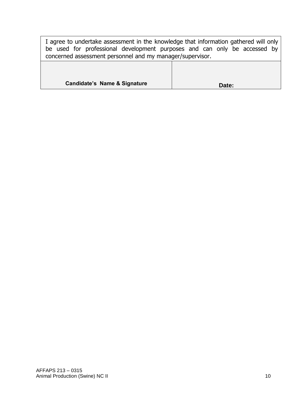I agree to undertake assessment in the knowledge that information gathered will only be used for professional development purposes and can only be accessed by concerned assessment personnel and my manager/supervisor.

| <b>Candidate's Name &amp; Signature</b> | Date: |
|-----------------------------------------|-------|
|-----------------------------------------|-------|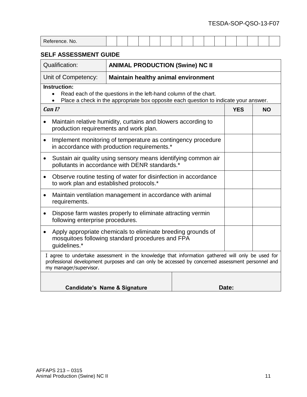| Reference. No.                                                                                                                                                                                            |                                                                                                                                                                                                      |  |       |  |  |  |  |  |  |  |  |
|-----------------------------------------------------------------------------------------------------------------------------------------------------------------------------------------------------------|------------------------------------------------------------------------------------------------------------------------------------------------------------------------------------------------------|--|-------|--|--|--|--|--|--|--|--|
| <b>SELF ASSESSMENT GUIDE</b>                                                                                                                                                                              |                                                                                                                                                                                                      |  |       |  |  |  |  |  |  |  |  |
| <b>Qualification:</b>                                                                                                                                                                                     | <b>ANIMAL PRODUCTION (Swine) NC II</b>                                                                                                                                                               |  |       |  |  |  |  |  |  |  |  |
| Unit of Competency:                                                                                                                                                                                       | <b>Maintain healthy animal environment</b>                                                                                                                                                           |  |       |  |  |  |  |  |  |  |  |
| <b>Instruction:</b><br>Read each of the questions in the left-hand column of the chart.<br>$\bullet$<br>Place a check in the appropriate box opposite each question to indicate your answer.<br>$\bullet$ |                                                                                                                                                                                                      |  |       |  |  |  |  |  |  |  |  |
| Can I?<br><b>YES</b><br><b>NO</b>                                                                                                                                                                         |                                                                                                                                                                                                      |  |       |  |  |  |  |  |  |  |  |
| production requirements and work plan.                                                                                                                                                                    | Maintain relative humidity, curtains and blowers according to                                                                                                                                        |  |       |  |  |  |  |  |  |  |  |
| $\bullet$                                                                                                                                                                                                 | Implement monitoring of temperature as contingency procedure<br>in accordance with production requirements.*                                                                                         |  |       |  |  |  |  |  |  |  |  |
| $\bullet$                                                                                                                                                                                                 | Sustain air quality using sensory means identifying common air<br>pollutants in accordance with DENR standards.*                                                                                     |  |       |  |  |  |  |  |  |  |  |
| $\bullet$<br>to work plan and established protocols.*                                                                                                                                                     | Observe routine testing of water for disinfection in accordance                                                                                                                                      |  |       |  |  |  |  |  |  |  |  |
| $\bullet$<br>requirements.                                                                                                                                                                                | Maintain ventilation management in accordance with animal                                                                                                                                            |  |       |  |  |  |  |  |  |  |  |
| $\bullet$<br>following enterprise procedures.                                                                                                                                                             | Dispose farm wastes properly to eliminate attracting vermin                                                                                                                                          |  |       |  |  |  |  |  |  |  |  |
| Apply appropriate chemicals to eliminate breeding grounds of<br>$\bullet$<br>mosquitoes following standard procedures and FPA<br>guidelines.*                                                             |                                                                                                                                                                                                      |  |       |  |  |  |  |  |  |  |  |
| my manager/supervisor.                                                                                                                                                                                    | I agree to undertake assessment in the knowledge that information gathered will only be used for<br>professional development purposes and can only be accessed by concerned assessment personnel and |  |       |  |  |  |  |  |  |  |  |
|                                                                                                                                                                                                           | Candidate's Name & Signature                                                                                                                                                                         |  | Date: |  |  |  |  |  |  |  |  |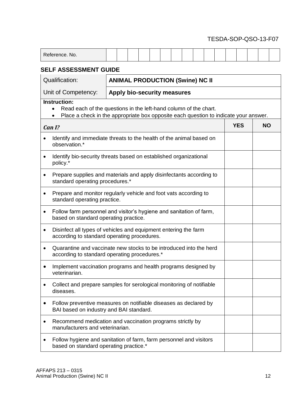| $D - I$<br>No. |  |  |  |  |  |  |  |  |
|----------------|--|--|--|--|--|--|--|--|
|                |  |  |  |  |  |  |  |  |

## **SELF ASSESSMENT GUIDE**

| <b>Qualification:</b><br><b>ANIMAL PRODUCTION (Swine) NC II</b> |                                                                                                                                                          |            |           |  |  |  |
|-----------------------------------------------------------------|----------------------------------------------------------------------------------------------------------------------------------------------------------|------------|-----------|--|--|--|
| Unit of Competency:                                             |                                                                                                                                                          |            |           |  |  |  |
| <b>Instruction:</b><br>$\bullet$                                | Read each of the questions in the left-hand column of the chart.<br>Place a check in the appropriate box opposite each question to indicate your answer. |            |           |  |  |  |
| Can I?                                                          |                                                                                                                                                          | <b>YES</b> | <b>NO</b> |  |  |  |
| observation.*                                                   | Identify and immediate threats to the health of the animal based on                                                                                      |            |           |  |  |  |
| $\bullet$<br>policy.*                                           | Identify bio-security threats based on established organizational                                                                                        |            |           |  |  |  |
| $\bullet$<br>standard operating procedures.*                    | Prepare supplies and materials and apply disinfectants according to                                                                                      |            |           |  |  |  |
| $\bullet$<br>standard operating practice.                       | Prepare and monitor regularly vehicle and foot vats according to                                                                                         |            |           |  |  |  |
| $\bullet$<br>based on standard operating practice.              | Follow farm personnel and visitor's hygiene and sanitation of farm,                                                                                      |            |           |  |  |  |
| ٠<br>according to standard operating procedures.                | Disinfect all types of vehicles and equipment entering the farm                                                                                          |            |           |  |  |  |
| $\bullet$                                                       | Quarantine and vaccinate new stocks to be introduced into the herd<br>according to standard operating procedures.*                                       |            |           |  |  |  |
| ٠<br>veterinarian.                                              | Implement vaccination programs and health programs designed by                                                                                           |            |           |  |  |  |
| diseases.                                                       | Collect and prepare samples for serological monitoring of notifiable                                                                                     |            |           |  |  |  |
| $\bullet$<br>BAI based on industry and BAI standard.            | Follow preventive measures on notifiable diseases as declared by                                                                                         |            |           |  |  |  |
| $\bullet$<br>manufacturers and veterinarian.                    | Recommend medication and vaccination programs strictly by                                                                                                |            |           |  |  |  |
| ٠<br>based on standard operating practice.*                     | Follow hygiene and sanitation of farm, farm personnel and visitors                                                                                       |            |           |  |  |  |